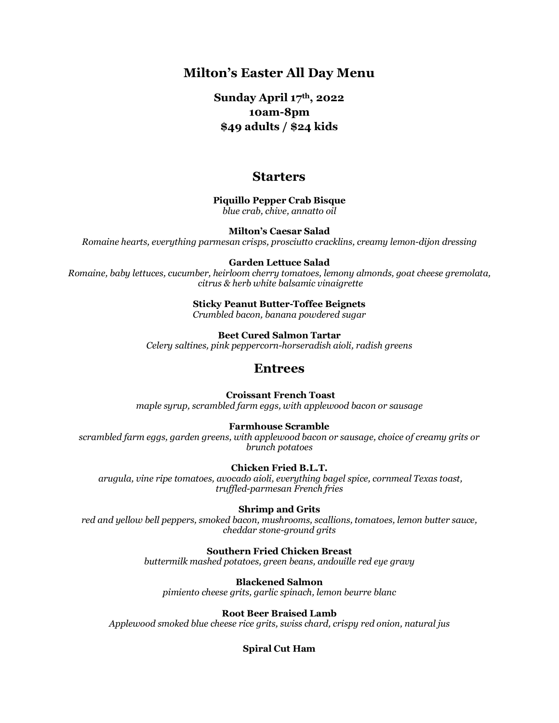## **Milton's Easter All Day Menu**

### **Sunday April 17th, 2022 10am-8pm \$49 adults / \$24 kids**

### **Starters**

**Piquillo Pepper Crab Bisque** *blue crab, chive, annatto oil*

**Milton's Caesar Salad**

*Romaine hearts, everything parmesan crisps, prosciutto cracklins, creamy lemon-dijon dressing*

#### **Garden Lettuce Salad**

*Romaine, baby lettuces, cucumber, heirloom cherry tomatoes, lemony almonds, goat cheese gremolata, citrus & herb white balsamic vinaigrette*

#### **Sticky Peanut Butter-Toffee Beignets**

*Crumbled bacon, banana powdered sugar*

**Beet Cured Salmon Tartar** *Celery saltines, pink peppercorn-horseradish aioli, radish greens*

### **Entrees**

#### **Croissant French Toast**

*maple syrup, scrambled farm eggs, with applewood bacon or sausage*

#### **Farmhouse Scramble**

*scrambled farm eggs, garden greens, with applewood bacon or sausage, choice of creamy grits or brunch potatoes*

#### **Chicken Fried B.L.T.**

*arugula, vine ripe tomatoes, avocado aioli, everything bagel spice, cornmeal Texas toast, truffled-parmesan French fries*

#### **Shrimp and Grits**

*red and yellow bell peppers, smoked bacon, mushrooms, scallions, tomatoes, lemon butter sauce, cheddar stone-ground grits*

**Southern Fried Chicken Breast**

*buttermilk mashed potatoes, green beans, andouille red eye gravy*

**Blackened Salmon** *pimiento cheese grits, garlic spinach, lemon beurre blanc*

**Root Beer Braised Lamb**

*Applewood smoked blue cheese rice grits, swiss chard, crispy red onion, natural jus*

#### **Spiral Cut Ham**